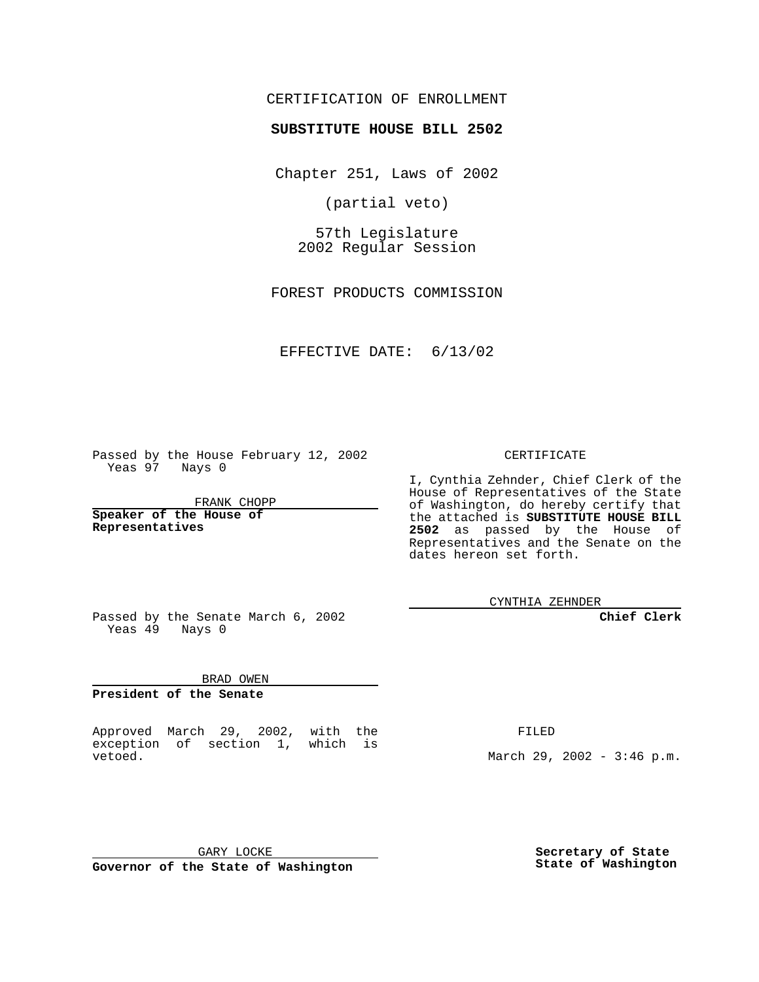## CERTIFICATION OF ENROLLMENT

## **SUBSTITUTE HOUSE BILL 2502**

Chapter 251, Laws of 2002

(partial veto)

57th Legislature 2002 Regular Session

FOREST PRODUCTS COMMISSION

EFFECTIVE DATE: 6/13/02

Passed by the House February 12, 2002 Yeas 97 Nays 0

FRANK CHOPP

**Speaker of the House of Representatives**

CERTIFICATE

I, Cynthia Zehnder, Chief Clerk of the House of Representatives of the State of Washington, do hereby certify that the attached is **SUBSTITUTE HOUSE BILL 2502** as passed by the House of Representatives and the Senate on the dates hereon set forth.

CYNTHIA ZEHNDER

**Chief Clerk**

Passed by the Senate March 6, 2002 Yeas  $49$  Nays 0

BRAD OWEN **President of the Senate**

Approved March 29, 2002, with the exception of section 1, which is vetoed.

FILED

March 29, 2002 - 3:46 p.m.

GARY LOCKE **Governor of the State of Washington**

**Secretary of State State of Washington**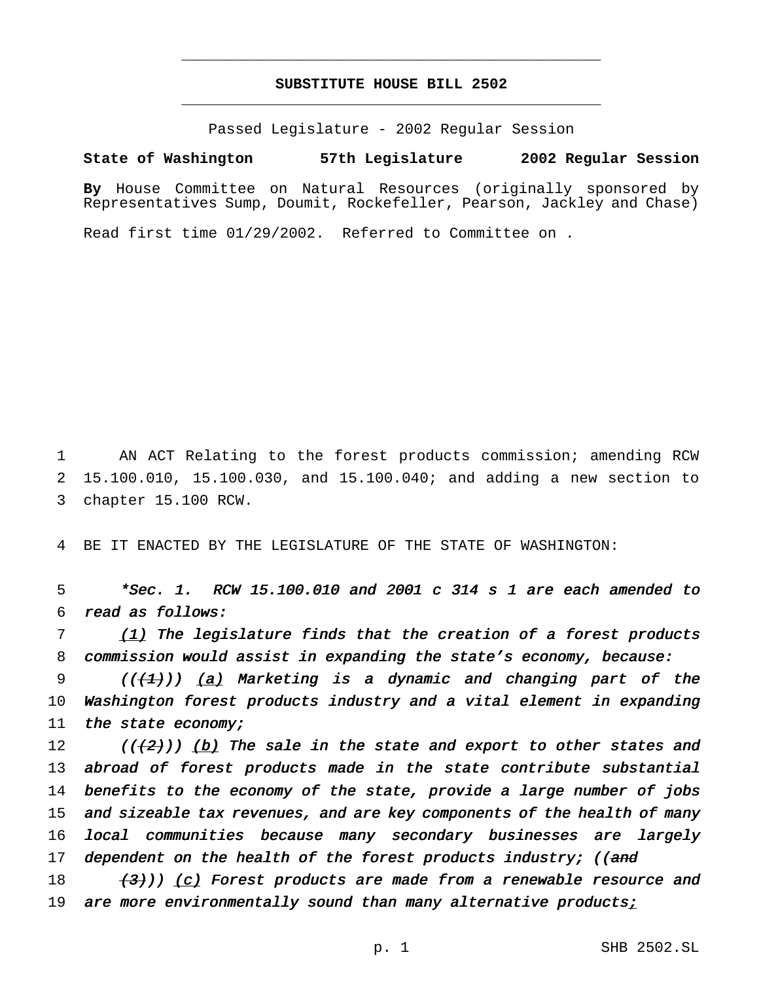## **SUBSTITUTE HOUSE BILL 2502** \_\_\_\_\_\_\_\_\_\_\_\_\_\_\_\_\_\_\_\_\_\_\_\_\_\_\_\_\_\_\_\_\_\_\_\_\_\_\_\_\_\_\_\_\_\_\_

\_\_\_\_\_\_\_\_\_\_\_\_\_\_\_\_\_\_\_\_\_\_\_\_\_\_\_\_\_\_\_\_\_\_\_\_\_\_\_\_\_\_\_\_\_\_\_

Passed Legislature - 2002 Regular Session

**State of Washington 57th Legislature 2002 Regular Session**

**By** House Committee on Natural Resources (originally sponsored by Representatives Sump, Doumit, Rockefeller, Pearson, Jackley and Chase)

Read first time 01/29/2002. Referred to Committee on .

1 AN ACT Relating to the forest products commission; amending RCW 2 15.100.010, 15.100.030, and 15.100.040; and adding a new section to 3 chapter 15.100 RCW.

4 BE IT ENACTED BY THE LEGISLATURE OF THE STATE OF WASHINGTON:

5 \*Sec. 1. RCW 15.100.010 and <sup>2001</sup> <sup>c</sup> <sup>314</sup> <sup>s</sup> <sup>1</sup> are each amended to 6 read as follows:

7 (1) The legislature finds that the creation of a forest products 8 commission would assist in expanding the state's economy, because:

9 ( $(\frac{1}{2})$ ) (a) Marketing is a dynamic and changing part of the 10 Washington forest products industry and <sup>a</sup> vital element in expanding 11 the state economy;

12 (( $(2)$ )) (b) The sale in the state and export to other states and 13 abroad of forest products made in the state contribute substantial 14 benefits to the economy of the state, provide <sup>a</sup> large number of jobs 15 and sizeable tax revenues, and are key components of the health of many 16 local communities because many secondary businesses are largely 17 dependent on the health of the forest products industry; ((and

18  $(3)$ )) (c) Forest products are made from a renewable resource and 19 are more environmentally sound than many alternative productsi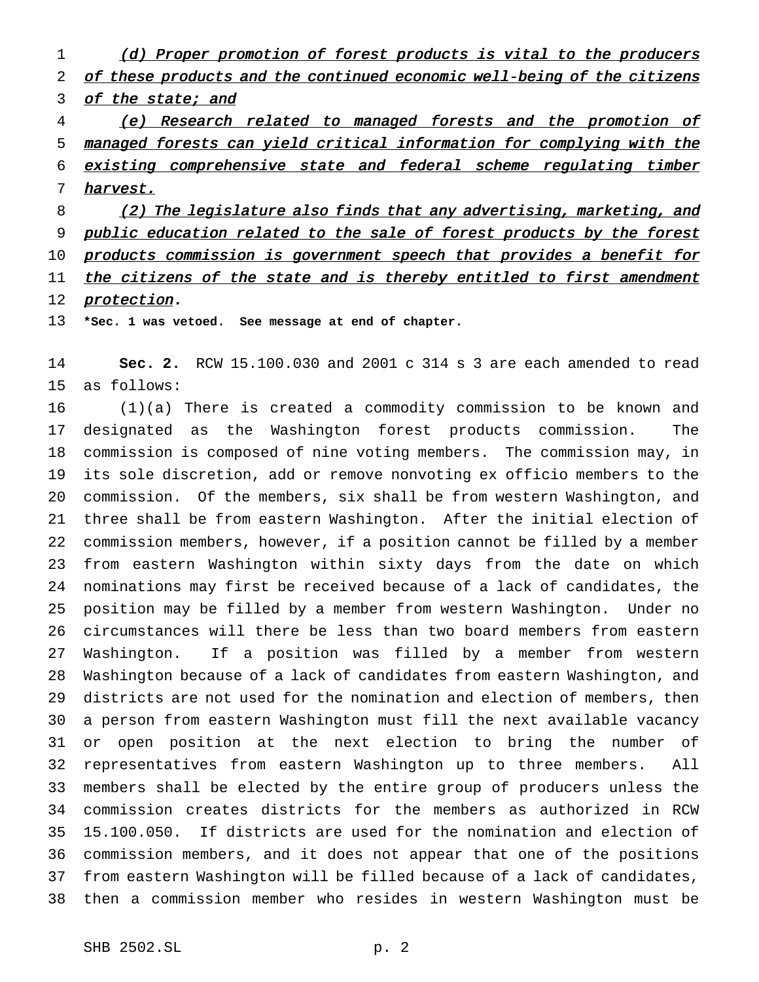1 (d) Proper promotion of forest products is vital to the producers 2 of these products and the continued economic well-being of the citizens 3 of the state; and

 (e) Research related to managed forests and the promotion of managed forests can yield critical information for complying with the existing comprehensive state and federal scheme regulating timber harvest.

8 (2) The legislature also finds that any advertising, marketing, and 9 public education related to the sale of forest products by the forest 10 products commission is government speech that provides a benefit for 11 the citizens of the state and is thereby entitled to first amendment 12 protection.

**\*Sec. 1 was vetoed. See message at end of chapter.**

 **Sec. 2.** RCW 15.100.030 and 2001 c 314 s 3 are each amended to read as follows:

 (1)(a) There is created a commodity commission to be known and designated as the Washington forest products commission. The commission is composed of nine voting members. The commission may, in its sole discretion, add or remove nonvoting ex officio members to the commission. Of the members, six shall be from western Washington, and three shall be from eastern Washington. After the initial election of commission members, however, if a position cannot be filled by a member from eastern Washington within sixty days from the date on which nominations may first be received because of a lack of candidates, the position may be filled by a member from western Washington. Under no circumstances will there be less than two board members from eastern Washington. If a position was filled by a member from western Washington because of a lack of candidates from eastern Washington, and districts are not used for the nomination and election of members, then a person from eastern Washington must fill the next available vacancy or open position at the next election to bring the number of representatives from eastern Washington up to three members. All members shall be elected by the entire group of producers unless the commission creates districts for the members as authorized in RCW 15.100.050. If districts are used for the nomination and election of commission members, and it does not appear that one of the positions from eastern Washington will be filled because of a lack of candidates, then a commission member who resides in western Washington must be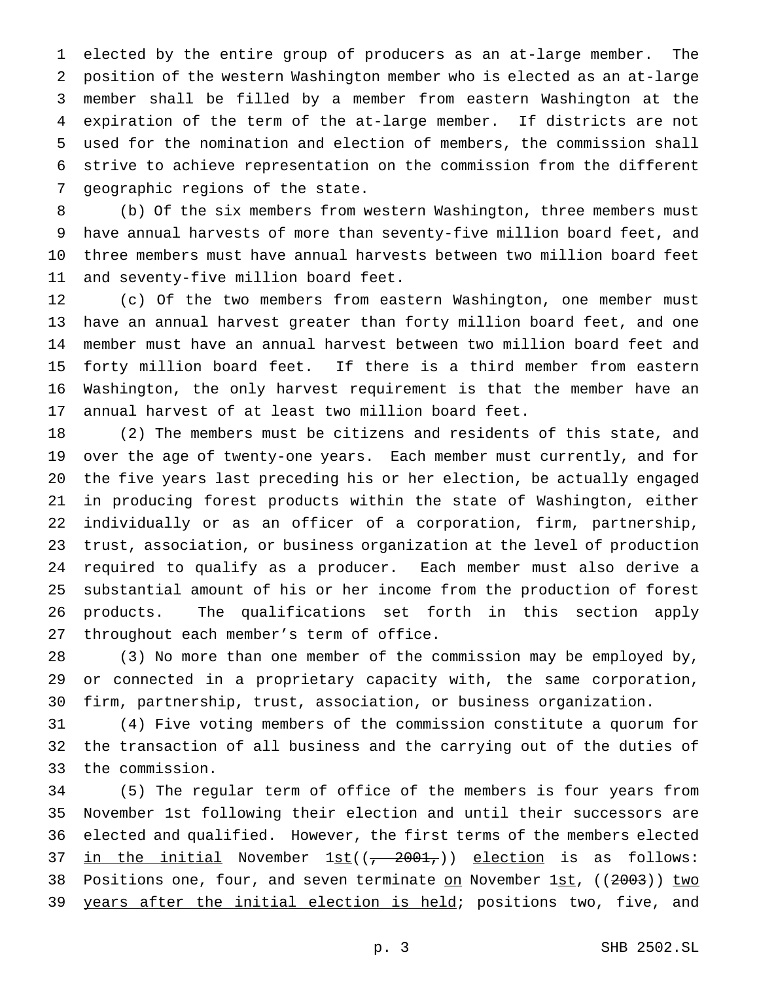elected by the entire group of producers as an at-large member. The position of the western Washington member who is elected as an at-large member shall be filled by a member from eastern Washington at the expiration of the term of the at-large member. If districts are not used for the nomination and election of members, the commission shall strive to achieve representation on the commission from the different geographic regions of the state.

 (b) Of the six members from western Washington, three members must have annual harvests of more than seventy-five million board feet, and three members must have annual harvests between two million board feet and seventy-five million board feet.

 (c) Of the two members from eastern Washington, one member must have an annual harvest greater than forty million board feet, and one member must have an annual harvest between two million board feet and forty million board feet. If there is a third member from eastern Washington, the only harvest requirement is that the member have an annual harvest of at least two million board feet.

 (2) The members must be citizens and residents of this state, and over the age of twenty-one years. Each member must currently, and for the five years last preceding his or her election, be actually engaged in producing forest products within the state of Washington, either individually or as an officer of a corporation, firm, partnership, trust, association, or business organization at the level of production required to qualify as a producer. Each member must also derive a substantial amount of his or her income from the production of forest products. The qualifications set forth in this section apply throughout each member's term of office.

 (3) No more than one member of the commission may be employed by, or connected in a proprietary capacity with, the same corporation, firm, partnership, trust, association, or business organization.

 (4) Five voting members of the commission constitute a quorum for the transaction of all business and the carrying out of the duties of the commission.

 (5) The regular term of office of the members is four years from November 1st following their election and until their successors are elected and qualified. However, the first terms of the members elected 37 in the initial November  $1st((7, 2001,))$  election is as follows: 38 Positions one, four, and seven terminate on November 1st, ((2003)) two 39 years after the initial election is held; positions two, five, and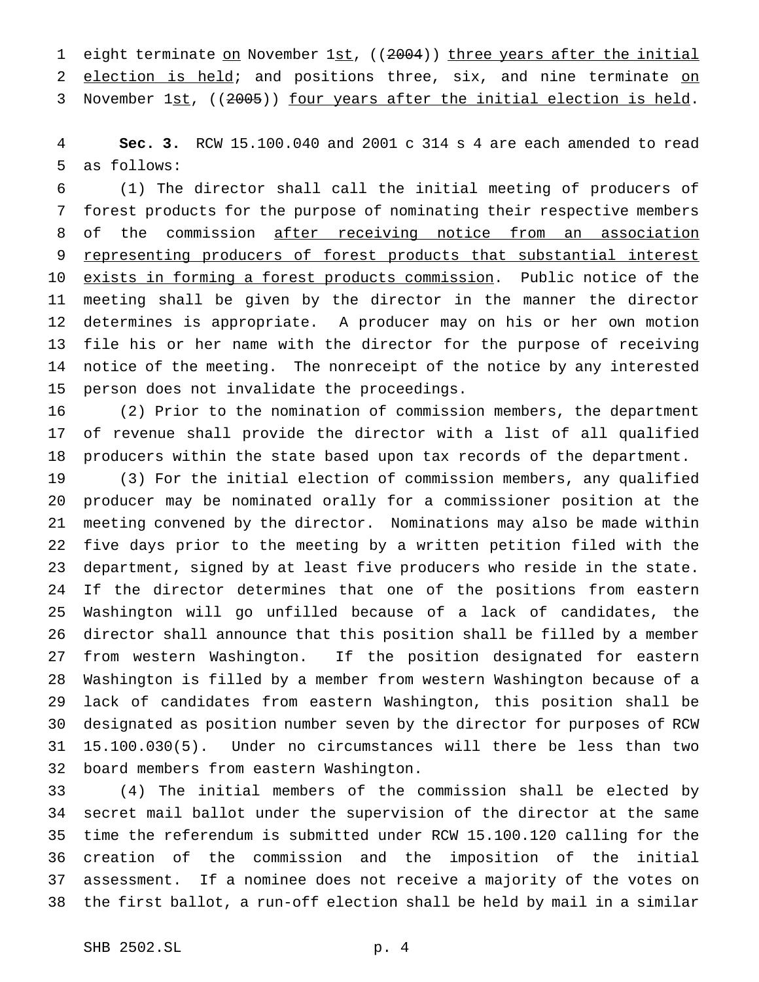1 eight terminate on November 1st, ((2004)) three years after the initial 2 election is held; and positions three, six, and nine terminate on 3 November 1st, ((2005)) four years after the initial election is held.

 **Sec. 3.** RCW 15.100.040 and 2001 c 314 s 4 are each amended to read as follows:

 (1) The director shall call the initial meeting of producers of forest products for the purpose of nominating their respective members of the commission after receiving notice from an association 9 representing producers of forest products that substantial interest 10 exists in forming a forest products commission. Public notice of the meeting shall be given by the director in the manner the director determines is appropriate. A producer may on his or her own motion file his or her name with the director for the purpose of receiving notice of the meeting. The nonreceipt of the notice by any interested person does not invalidate the proceedings.

 (2) Prior to the nomination of commission members, the department of revenue shall provide the director with a list of all qualified producers within the state based upon tax records of the department.

 (3) For the initial election of commission members, any qualified producer may be nominated orally for a commissioner position at the meeting convened by the director. Nominations may also be made within five days prior to the meeting by a written petition filed with the department, signed by at least five producers who reside in the state. If the director determines that one of the positions from eastern Washington will go unfilled because of a lack of candidates, the director shall announce that this position shall be filled by a member from western Washington. If the position designated for eastern Washington is filled by a member from western Washington because of a lack of candidates from eastern Washington, this position shall be designated as position number seven by the director for purposes of RCW 15.100.030(5). Under no circumstances will there be less than two board members from eastern Washington.

 (4) The initial members of the commission shall be elected by secret mail ballot under the supervision of the director at the same time the referendum is submitted under RCW 15.100.120 calling for the creation of the commission and the imposition of the initial assessment. If a nominee does not receive a majority of the votes on the first ballot, a run-off election shall be held by mail in a similar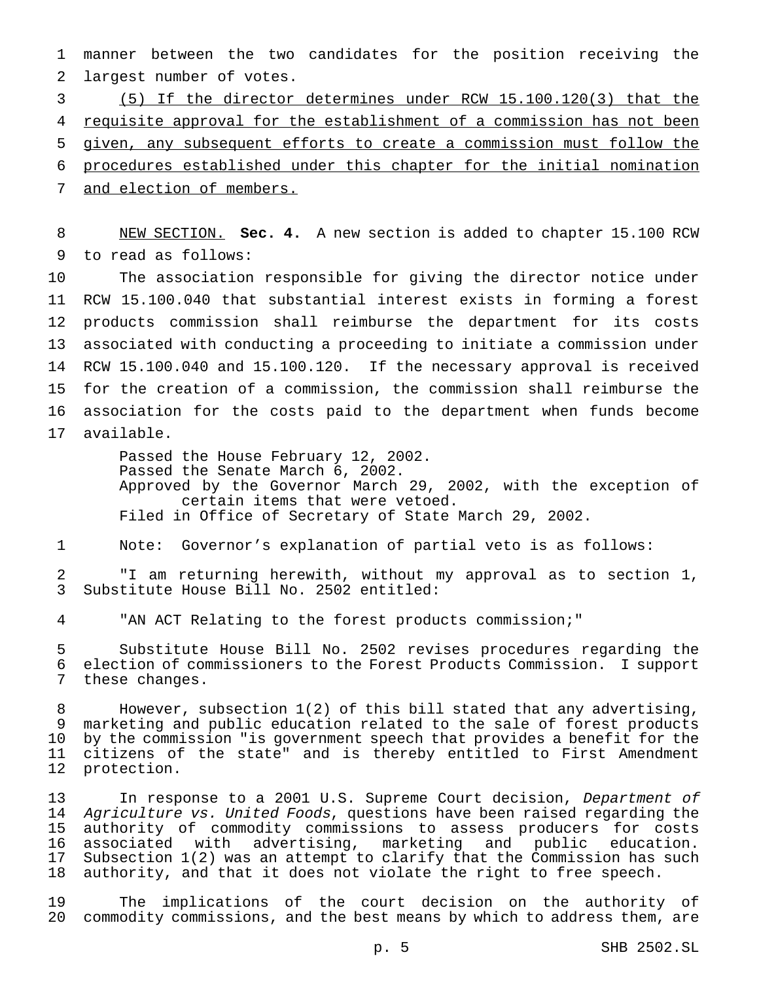manner between the two candidates for the position receiving the largest number of votes.

 (5) If the director determines under RCW 15.100.120(3) that the 4 requisite approval for the establishment of a commission has not been given, any subsequent efforts to create a commission must follow the procedures established under this chapter for the initial nomination 7 and election of members.

 NEW SECTION. **Sec. 4.** A new section is added to chapter 15.100 RCW to read as follows:

 The association responsible for giving the director notice under RCW 15.100.040 that substantial interest exists in forming a forest products commission shall reimburse the department for its costs associated with conducting a proceeding to initiate a commission under RCW 15.100.040 and 15.100.120. If the necessary approval is received for the creation of a commission, the commission shall reimburse the association for the costs paid to the department when funds become available.

> Passed the House February 12, 2002. Passed the Senate March 6, 2002. Approved by the Governor March 29, 2002, with the exception of certain items that were vetoed. Filed in Office of Secretary of State March 29, 2002.

Note: Governor's explanation of partial veto is as follows:

 "I am returning herewith, without my approval as to section 1, Substitute House Bill No. 2502 entitled:

"AN ACT Relating to the forest products commission;"

 Substitute House Bill No. 2502 revises procedures regarding the election of commissioners to the Forest Products Commission. I support these changes.

 However, subsection 1(2) of this bill stated that any advertising, marketing and public education related to the sale of forest products by the commission "is government speech that provides a benefit for the citizens of the state" and is thereby entitled to First Amendment protection.

13 In response to a 2001 U.S. Supreme Court decision, Department of 14 Agriculture vs. United Foods, questions have been raised regarding the authority of commodity commissions to assess producers for costs associated with advertising, marketing and public education. Subsection 1(2) was an attempt to clarify that the Commission has such authority, and that it does not violate the right to free speech.

 The implications of the court decision on the authority of commodity commissions, and the best means by which to address them, are